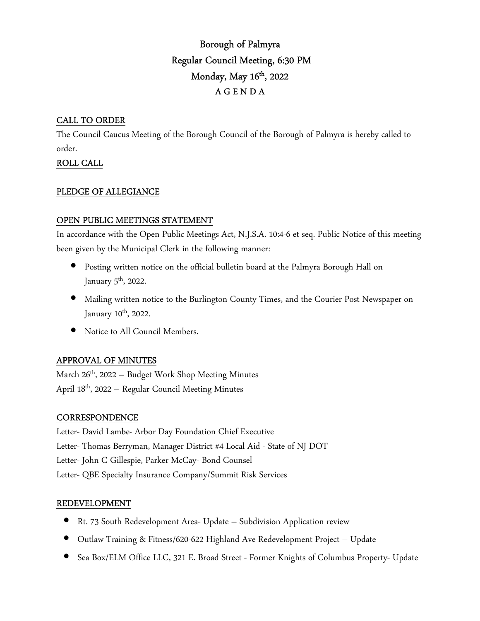# Borough of Palmyra Regular Council Meeting, 6:30 PM Monday, May 16<sup>th</sup>, 2022 A G E N D A

### CALL TO ORDER

The Council Caucus Meeting of the Borough Council of the Borough of Palmyra is hereby called to order.

# ROLL CALL

### PLEDGE OF ALLEGIANCE

### OPEN PUBLIC MEETINGS STATEMENT

In accordance with the Open Public Meetings Act, N.J.S.A. 10:4-6 et seq. Public Notice of this meeting been given by the Municipal Clerk in the following manner:

- Posting written notice on the official bulletin board at the Palmyra Borough Hall on January  $5^{\text{th}}$ , 2022.
- Mailing written notice to the Burlington County Times, and the Courier Post Newspaper on January 10<sup>th</sup>, 2022.
- Notice to All Council Members.

### APPROVAL OF MINUTES

March  $26<sup>th</sup>$ , 2022 – Budget Work Shop Meeting Minutes April 18th, 2022 – Regular Council Meeting Minutes

### **CORRESPONDENCE**

Letter- David Lambe- Arbor Day Foundation Chief Executive Letter- Thomas Berryman, Manager District #4 Local Aid - State of NJ DOT Letter- John C Gillespie, Parker McCay- Bond Counsel Letter- QBE Specialty Insurance Company/Summit Risk Services

#### REDEVELOPMENT

- Rt. 73 South Redevelopment Area- Update Subdivision Application review
- Outlaw Training & Fitness/620-622 Highland Ave Redevelopment Project Update
- Sea Box/ELM Office LLC, 321 E. Broad Street Former Knights of Columbus Property- Update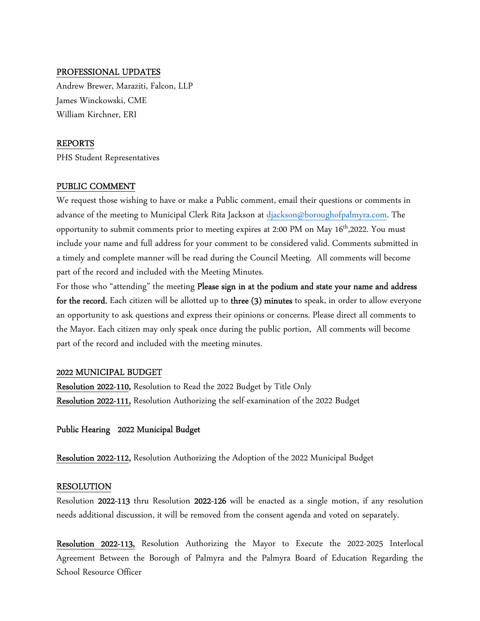#### PROFESSIONAL UPDATES

Andrew Brewer, Maraziti, Falcon, LLP James Winckowski, CME William Kirchner, ERI

#### REPORTS

PHS Student Representatives

#### PUBLIC COMMENT

We request those wishing to have or make a Public comment, email their questions or comments in advance of the meeting to Municipal Clerk Rita Jackson at djackson@boroughofpalmyra.com. The opportunity to submit comments prior to meeting expires at 2:00 PM on May  $16<sup>th</sup>$ ,2022. You must include your name and full address for your comment to be considered valid. Comments submitted in a timely and complete manner will be read during the Council Meeting. All comments will become part of the record and included with the Meeting Minutes.

For those who "attending" the meeting Please sign in at the podium and state your name and address for the record. Each citizen will be allotted up to three (3) minutes to speak, in order to allow everyone an opportunity to ask questions and express their opinions or concerns. Please direct all comments to the Mayor. Each citizen may only speak once during the public portion. All comments will become part of the record and included with the meeting minutes.

#### 2022 MUNICIPAL BUDGET

Resolution 2022-110, Resolution to Read the 2022 Budget by Title Only Resolution 2022-111, Resolution Authorizing the self-examination of the 2022 Budget

Public Hearing 2022 Municipal Budget

Resolution 2022-112, Resolution Authorizing the Adoption of the 2022 Municipal Budget

#### RESOLUTION

Resolution 2022-113 thru Resolution 2022-126 will be enacted as a single motion, if any resolution needs additional discussion, it will be removed from the consent agenda and voted on separately.

Resolution 2022-113, Resolution Authorizing the Mayor to Execute the 2022-2025 Interlocal Agreement Between the Borough of Palmyra and the Palmyra Board of Education Regarding the School Resource Officer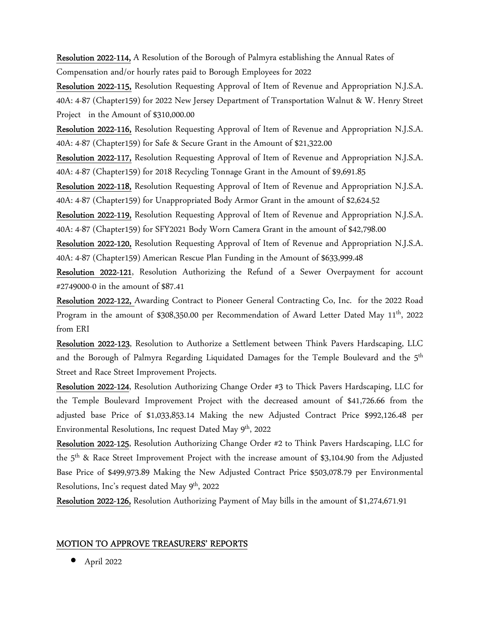Resolution 2022-114, A Resolution of the Borough of Palmyra establishing the Annual Rates of Compensation and/or hourly rates paid to Borough Employees for 2022

Resolution 2022-115, Resolution Requesting Approval of Item of Revenue and Appropriation N.J.S.A. 40A: 4-87 (Chapter159) for 2022 New Jersey Department of Transportation Walnut & W. Henry Street Project in the Amount of \$310,000.00

Resolution 2022-116, Resolution Requesting Approval of Item of Revenue and Appropriation N.J.S.A. 40A: 4-87 (Chapter159) for Safe & Secure Grant in the Amount of \$21,322.00

Resolution 2022-117, Resolution Requesting Approval of Item of Revenue and Appropriation N.J.S.A. 40A: 4-87 (Chapter159) for 2018 Recycling Tonnage Grant in the Amount of \$9,691.85

Resolution 2022-118, Resolution Requesting Approval of Item of Revenue and Appropriation N.J.S.A. 40A: 4-87 (Chapter159) for Unappropriated Body Armor Grant in the amount of \$2,624.52

Resolution 2022-119, Resolution Requesting Approval of Item of Revenue and Appropriation N.J.S.A. 40A: 4-87 (Chapter159) for SFY2021 Body Worn Camera Grant in the amount of \$42,798.00

Resolution 2022-120, Resolution Requesting Approval of Item of Revenue and Appropriation N.J.S.A. 40A: 4-87 (Chapter159) American Rescue Plan Funding in the Amount of \$633,999.48

Resolution 2022-121, Resolution Authorizing the Refund of a Sewer Overpayment for account #2749000-0 in the amount of \$87.41

Resolution 2022-122, Awarding Contract to Pioneer General Contracting Co, Inc. for the 2022 Road Program in the amount of \$308,350.00 per Recommendation of Award Letter Dated May 11<sup>th</sup>, 2022 from ERI

Resolution 2022-123, Resolution to Authorize a Settlement between Think Pavers Hardscaping, LLC and the Borough of Palmyra Regarding Liquidated Damages for the Temple Boulevard and the 5th Street and Race Street Improvement Projects.

Resolution 2022-124, Resolution Authorizing Change Order #3 to Thick Pavers Hardscaping, LLC for the Temple Boulevard Improvement Project with the decreased amount of \$41,726.66 from the adjusted base Price of \$1,033,853.14 Making the new Adjusted Contract Price \$992,126.48 per Environmental Resolutions, Inc request Dated May 9<sup>th</sup>, 2022

Resolution 2022-125, Resolution Authorizing Change Order #2 to Think Pavers Hardscaping, LLC for the 5<sup>th</sup> & Race Street Improvement Project with the increase amount of \$3,104.90 from the Adjusted Base Price of \$499,973.89 Making the New Adjusted Contract Price \$503,078.79 per Environmental Resolutions, Inc's request dated May 9<sup>th</sup>, 2022

Resolution 2022-126, Resolution Authorizing Payment of May bills in the amount of \$1,274,671.91

#### MOTION TO APPROVE TREASURERS' REPORTS

• April 2022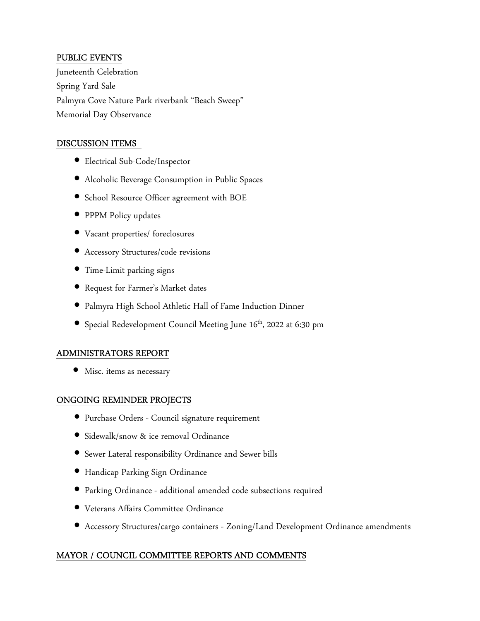### PUBLIC EVENTS

Juneteenth Celebration Spring Yard Sale Palmyra Cove Nature Park riverbank "Beach Sweep" Memorial Day Observance

### DISCUSSION ITEMS

- Electrical Sub-Code/Inspector
- Alcoholic Beverage Consumption in Public Spaces
- School Resource Officer agreement with BOE
- PPPM Policy updates
- Vacant properties/ foreclosures
- Accessory Structures/code revisions
- Time-Limit parking signs
- Request for Farmer's Market dates
- Palmyra High School Athletic Hall of Fame Induction Dinner
- Special Redevelopment Council Meeting June 16<sup>th</sup>, 2022 at 6:30 pm

### ADMINISTRATORS REPORT

• Misc. items as necessary

### ONGOING REMINDER PROJECTS

- Purchase Orders Council signature requirement
- Sidewalk/snow & ice removal Ordinance
- Sewer Lateral responsibility Ordinance and Sewer bills
- Handicap Parking Sign Ordinance
- Parking Ordinance additional amended code subsections required
- Veterans Affairs Committee Ordinance
- Accessory Structures/cargo containers Zoning/Land Development Ordinance amendments

# MAYOR / COUNCIL COMMITTEE REPORTS AND COMMENTS